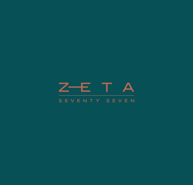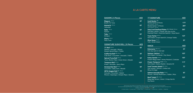## SASHIMI | 5 Pieces

**Maguro** 126 kcal Bluefin Fin Tuna

**Sake** 108 kcal Salmon

**Tako** 100 kcal **87** Octopus **Otoro** 184 kcal

**Hamachi** 100 kcal **87** Yellowtail

Fatty Tuna

## SIGNATURE SUSHI ROLL

## **A LA CARTE MENU**

**A** Contain Alcohol / **D** Contain Dairy / **G** Contain Gluten / **N** Contain Nuts / **P** Contain Pork / **S** Shellfish / **V** Vegetarian

**77 Roll** 304 kcal Salmon | Avocado | Mizuna Kewpie Spiced Mayo | Tobiko

**California Roll (S)** 225 kcal Crab Stick | Cucumber | Avocad

**Spiced Tuna Roll 290 kcal** Tuna | Bonito Flake | Green Oni

> ZETA Seventy Seven Offering A Small Plates Sharing Concept | Dishes Will Be Served As They Are Ready. Our Food And Beverage Philosophy is Local, Organic, Fresh and Sustainable, Our Prime Quality Soy Sauce is Organic and Gluten Free. Half Board Supplement **48 88 full price**

**Tempura Roll** 390 kcal Prawn | Avocado | Spicy Mayo

**Smoked Eel Roll <sup>290 kcal</sup>** Cucumber | Baby Gem | Wasabi

**ZETA Veggie Roll (V)** 180 kcal **77** Avocado | Cucumber | Radish Mizuna | Asparagus | Kewpie M

|                 | <b>AED</b> | <b>77 SIGNATURE</b>                                                                                                                             | <b>AED</b> |
|-----------------|------------|-------------------------------------------------------------------------------------------------------------------------------------------------|------------|
|                 | 97         | Iced Oyster <sup>(S)</sup><br>Market Oyster 6 Pieces                                                                                            | 177        |
|                 | 87         | Asian Condiment - 243 kcal<br>Market Oyster 12 Pieces<br>Asian Condiment - 243 kcal                                                             | 287        |
|                 | 87         | Zeta Iced Seafood Plater (S) (1 Person) 786 kcal<br>Half Blue Lobster   Oyster with Sea Urchin<br>Poached Prawn   Assorted Sashimi   Soya Sauce | 397        |
|                 | 87<br>177  | Tuna Tartar 386 kcal<br>Herb Salad   Grape Seed Oil   Orange Tobiko                                                                             | 127        |
|                 |            | Miso Soup 343 kcal<br>Tofu   Green Onion                                                                                                        | 57         |
| <b>8 Pieces</b> | <b>AED</b> | <b>SNACK</b>                                                                                                                                    | <b>AED</b> |
|                 | 97         | Edamame (V) 98 kcal<br>Pink Sea Salt Or Chili Salt                                                                                              | 57         |
| do   Tobiko     | 97         | Salmon Yakitori 118 kcal<br>Herb Salad   Coriander   Soy Sauce                                                                                  | 107        |
| on   Wasabi     | 97         | Katsu Sando 618 kcal<br>Kiwami Wagyu Beef   Honey Mustard   Coleslaw                                                                            | 197        |
|                 | 107        | Prawn Tempura (G)(S) 310 kcal<br>Herb Salad   Daikon Radish   Sesame Oil                                                                        | 117        |
|                 | 97         | <b>Iced Tomato Salad (V) 95 kcal</b><br>Vine tomato   Minuza   Chilled tofu                                                                     | 77         |
| ayo   Sesame    | 77         | Minus 8 vinigar<br>Salmon Avocado Poke <sup>252 kcal</sup><br>Mizuna   Shimeji Mushroom   Tobiko   Miso                                         | 97         |
|                 |            | Beef Tataki (D) 318 kcal<br>Wagy Beef Sirloin   Onion   Crispy Garclic<br><b>Soy Sauce</b>                                                      | 127        |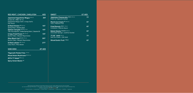| RED MEAT   CHICKEN   SHELLFISH                                                                                         | AED |
|------------------------------------------------------------------------------------------------------------------------|-----|
| Japanese Kagoshima Wagyu 806 kcal<br>Grade A5   MBS 10-12<br>Kagoshima Wagyu beef   Crispy Garlic<br><b>Soy Sause</b>  | 397 |
| Grilled Chicken (D) 220 kcal                                                                                           | 167 |
| Spring Onion   Sesame Seed<br>Salmon Teriyaki (G) (S) 257 kcal<br>Tofu Yuzu Espuma   Grilled Spring Onion   Sesame Oil | 197 |
| Crispy Fried Prawn (S) 257 kcal<br>Bonito Flake   Wasabi Mayonnaise                                                    | 197 |
| Miso Black Cod (G) (Z) 287 kcal<br>Bonito Flake   Wasabi Mayonnaise                                                    | 207 |
| Grilled Lobster (S) 270 kcal<br>Lotus Root   Miso Butter                                                               | 277 |

SIDE DISH **47** AED

## SWEET 67 AED **Japanese Cheesecake** (D)(G) 240 kcal **77** Peach & Togarashi Sorbet **Mochi Ice Cream** (D) 260 kcal **67** Yuzu | Passion Fruit **Fried Donuts (D)(G)** 130 kcal **67** Cinnamon | Matcha Sauce **Baked Alaska** (D)(G)(N) 290 kcal **67** Chocolate Sponge | Jackfruit Sorbet *77* **ΟΖ´ Gold <sup>203 kcal <b>77 77**</sup> Soft Ice Cream | 23K Gold **Sliced Exotic Fruit 172Kcal 67**

**Tōgarashi Potato Fries** 120 kcal **Mixed Asian Mushroom (V) 85 kcal ZETA 77 Salad (V)** 54 kcal **Spicy Green Beans (V)**

ZETA Seventy Seven Offering A Small Plates Sharing Concept | Dishes Will Be Served As They Are Ready.<br>Our Food And Beverage Philosophy is Local, Organic, Fresh and Sustainable, Our Prime Quality Soy Sauce is Organic and Gl